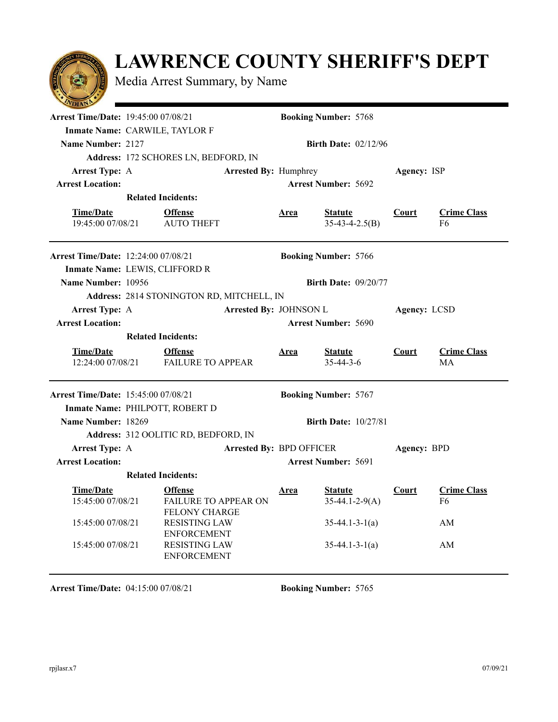## **LAWRENCE COUNTY SHERIFF'S DEPT**

Media Arrest Summary, by Name

| $\sim$                                     |                                              |                              |             |                             |              |                    |
|--------------------------------------------|----------------------------------------------|------------------------------|-------------|-----------------------------|--------------|--------------------|
| <b>Arrest Time/Date: 19:45:00 07/08/21</b> |                                              |                              |             | <b>Booking Number: 5768</b> |              |                    |
| Inmate Name: CARWILE, TAYLOR F             |                                              |                              |             |                             |              |                    |
| Name Number: 2127                          |                                              |                              |             | <b>Birth Date: 02/12/96</b> |              |                    |
|                                            | Address: 172 SCHORES LN, BEDFORD, IN         |                              |             |                             |              |                    |
| <b>Arrest Type: A</b>                      |                                              | <b>Arrested By: Humphrey</b> |             |                             | Agency: ISP  |                    |
| <b>Arrest Location:</b>                    |                                              |                              |             | <b>Arrest Number: 5692</b>  |              |                    |
|                                            | <b>Related Incidents:</b>                    |                              |             |                             |              |                    |
| <b>Time/Date</b>                           | <b>Offense</b>                               |                              | <u>Area</u> | <b>Statute</b>              | <b>Court</b> | <b>Crime Class</b> |
| 19:45:00 07/08/21                          | <b>AUTO THEFT</b>                            |                              |             | $35-43-4-2.5(B)$            |              | F6                 |
|                                            |                                              |                              |             |                             |              |                    |
| <b>Arrest Time/Date: 12:24:00 07/08/21</b> |                                              |                              |             | <b>Booking Number: 5766</b> |              |                    |
| Inmate Name: LEWIS, CLIFFORD R             |                                              |                              |             |                             |              |                    |
| Name Number: 10956                         |                                              |                              |             | <b>Birth Date: 09/20/77</b> |              |                    |
|                                            | Address: 2814 STONINGTON RD, MITCHELL, IN    |                              |             |                             |              |                    |
| <b>Arrest Type: A</b>                      |                                              | Arrested By: JOHNSON L       |             |                             | Agency: LCSD |                    |
| <b>Arrest Location:</b>                    |                                              |                              |             | <b>Arrest Number: 5690</b>  |              |                    |
|                                            | <b>Related Incidents:</b>                    |                              |             |                             |              |                    |
|                                            |                                              |                              |             |                             |              |                    |
| <b>Time/Date</b>                           | <b>Offense</b>                               |                              | <u>Area</u> | <b>Statute</b>              | Court        | <b>Crime Class</b> |
| 12:24:00 07/08/21                          | <b>FAILURE TO APPEAR</b>                     |                              |             | $35 - 44 - 3 - 6$           |              | МA                 |
|                                            |                                              |                              |             |                             |              |                    |
| Arrest Time/Date: 15:45:00 07/08/21        |                                              |                              |             | <b>Booking Number: 5767</b> |              |                    |
| Inmate Name: PHILPOTT, ROBERT D            |                                              |                              |             |                             |              |                    |
| Name Number: 18269                         |                                              |                              |             | <b>Birth Date: 10/27/81</b> |              |                    |
|                                            | Address: 312 OOLITIC RD, BEDFORD, IN         |                              |             |                             |              |                    |
| <b>Arrest Type: A</b>                      |                                              | Arrested By: BPD OFFICER     |             |                             | Agency: BPD  |                    |
| <b>Arrest Location:</b>                    |                                              |                              |             | <b>Arrest Number: 5691</b>  |              |                    |
|                                            | <b>Related Incidents:</b>                    |                              |             |                             |              |                    |
| <b>Time/Date</b>                           | <b>Offense</b>                               |                              | <b>Area</b> | <b>Statute</b>              | <u>Court</u> | <b>Crime Class</b> |
| 15:45:00 07/08/21                          | FAILURE TO APPEAR ON                         |                              |             | $35-44.1-2-9(A)$            |              | F6                 |
| 15:45:00 07/08/21                          | <b>FELONY CHARGE</b><br><b>RESISTING LAW</b> |                              |             |                             |              | AM                 |
|                                            | <b>ENFORCEMENT</b>                           |                              |             | $35-44.1-3-1(a)$            |              |                    |
| 15:45:00 07/08/21                          | <b>RESISTING LAW</b><br><b>ENFORCEMENT</b>   |                              |             | $35-44.1-3-1(a)$            |              | AM                 |

**Arrest Time/Date:** 04:15:00 07/08/21 **Booking Number:** 5765